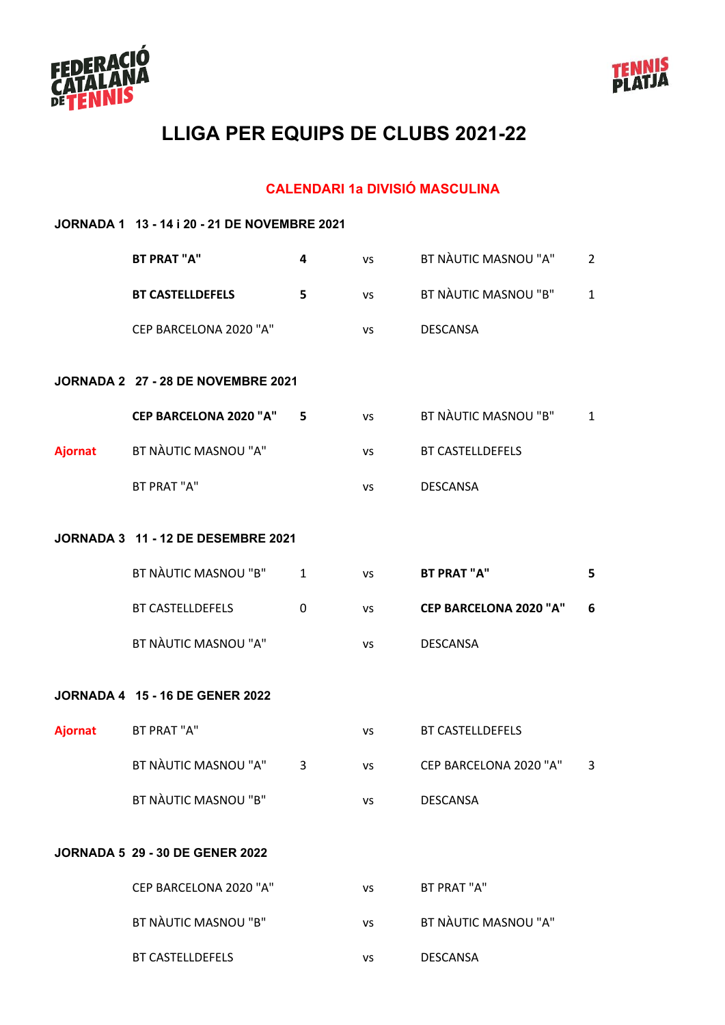



#### **CALENDARI 1a DIVISIÓ MASCULINA**

|                | JORNADA 1 13 - 14 i 20 - 21 DE NOVEMBRE 2021 |              |           |                               |                |  |  |
|----------------|----------------------------------------------|--------------|-----------|-------------------------------|----------------|--|--|
|                | <b>BT PRAT "A"</b>                           | 4            | <b>VS</b> | BT NÀUTIC MASNOU "A"          | $\overline{2}$ |  |  |
|                | <b>BT CASTELLDEFELS</b>                      | 5            | VS        | BT NÀUTIC MASNOU "B"          | $\mathbf{1}$   |  |  |
|                | CEP BARCELONA 2020 "A"                       |              | <b>VS</b> | <b>DESCANSA</b>               |                |  |  |
|                | JORNADA 2 27 - 28 DE NOVEMBRE 2021           |              |           |                               |                |  |  |
|                | <b>CEP BARCELONA 2020 "A"</b>                | 5            | <b>VS</b> | BT NÀUTIC MASNOU "B"          | $\mathbf{1}$   |  |  |
| <b>Ajornat</b> | BT NÀUTIC MASNOU "A"                         |              | VS        | <b>BT CASTELLDEFELS</b>       |                |  |  |
|                | BT PRAT "A"                                  |              | VS        | <b>DESCANSA</b>               |                |  |  |
|                | <b>JORNADA 3 11 - 12 DE DESEMBRE 2021</b>    |              |           |                               |                |  |  |
|                | BT NÀUTIC MASNOU "B"                         | $\mathbf{1}$ | <b>VS</b> | <b>BT PRAT "A"</b>            | 5              |  |  |
|                | <b>BT CASTELLDEFELS</b>                      | $\Omega$     | <b>VS</b> | <b>CEP BARCELONA 2020 "A"</b> | 6              |  |  |
|                | BT NÀUTIC MASNOU "A"                         |              | <b>VS</b> | <b>DESCANSA</b>               |                |  |  |
|                | <b>JORNADA 4 15 - 16 DE GENER 2022</b>       |              |           |                               |                |  |  |
| <b>Ajornat</b> | BT PRAT "A"                                  |              | <b>VS</b> | <b>BT CASTELLDEFELS</b>       |                |  |  |
|                | BT NÀUTIC MASNOU "A" 3                       |              | vs        | CEP BARCELONA 2020 "A"        | 3              |  |  |
|                | BT NÀUTIC MASNOU "B"                         |              | <b>VS</b> | <b>DESCANSA</b>               |                |  |  |
|                | <b>JORNADA 5 29 - 30 DE GENER 2022</b>       |              |           |                               |                |  |  |
|                | CEP BARCELONA 2020 "A"                       |              | <b>VS</b> | BT PRAT "A"                   |                |  |  |
|                | BT NÀUTIC MASNOU "B"                         |              | <b>VS</b> | BT NÀUTIC MASNOU "A"          |                |  |  |
|                | BT CASTELLDEFELS                             |              | VS        | <b>DESCANSA</b>               |                |  |  |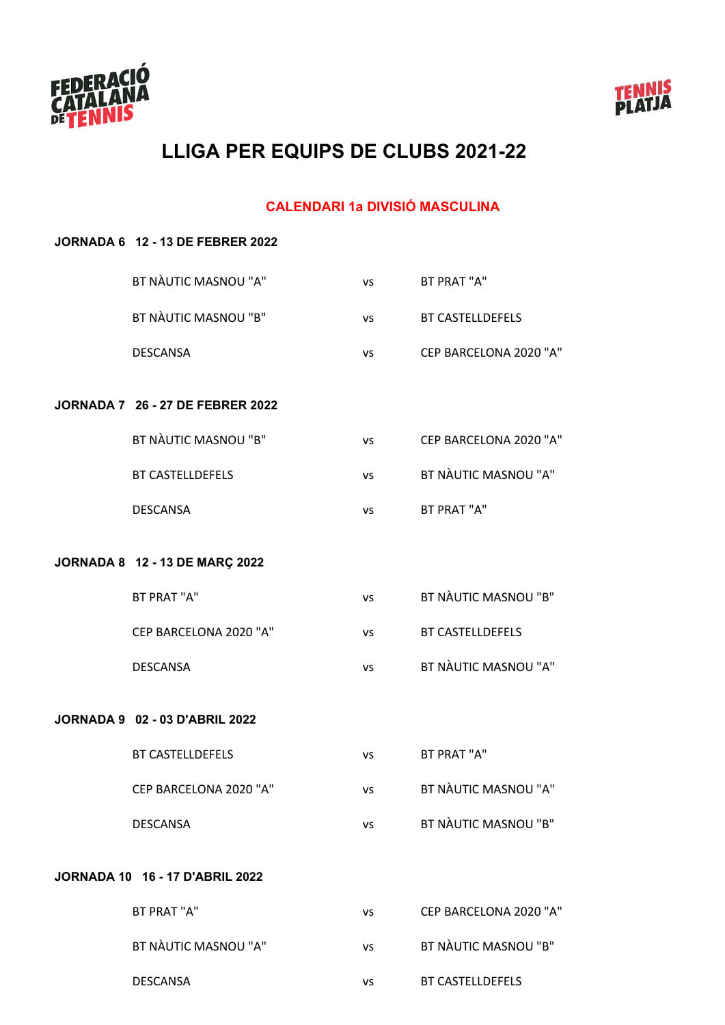



#### **CALENDARI 1a DIVISIÓ MASCULINA**

| <b>JORNADA 6 12 - 13 DE FEBRER 2022</b> |           |                         |
|-----------------------------------------|-----------|-------------------------|
| BT NÀUTIC MASNOU "A"                    | VS        | BT PRAT "A"             |
| BT NÀUTIC MASNOU "B"                    | VS        | <b>BT CASTELLDEFELS</b> |
| <b>DESCANSA</b>                         | VS        | CEP BARCELONA 2020 "A"  |
| <b>JORNADA 7 26 - 27 DE FEBRER 2022</b> |           |                         |
|                                         |           |                         |
| BT NÀUTIC MASNOU "B"                    | VS        | CEP BARCELONA 2020 "A"  |
| <b>BT CASTELLDEFELS</b>                 | VS        | BT NÀUTIC MASNOU "A"    |
| <b>DESCANSA</b>                         | VS        | BT PRAT "A"             |
|                                         |           |                         |
| JORNADA 8 12 - 13 DE MARÇ 2022          |           |                         |
| BT PRAT "A"                             | VS        | BT NÀUTIC MASNOU "B"    |
| CEP BARCELONA 2020 "A"                  | VS        | <b>BT CASTELLDEFELS</b> |
| <b>DESCANSA</b>                         | VS        | BT NÀUTIC MASNOU "A"    |
|                                         |           |                         |
| <b>JORNADA 9 02 - 03 D'ABRIL 2022</b>   |           |                         |
| <b>BT CASTELLDEFELS</b>                 | VS        | <b>BT PRAT "A"</b>      |
| CEP BARCELONA 2020 "A"                  | VS        | BT NÀUTIC MASNOU "A"    |
| <b>DESCANSA</b>                         | VS        | BT NÀUTIC MASNOU "B"    |
|                                         |           |                         |
| <b>JORNADA 10 16 - 17 D'ABRIL 2022</b>  |           |                         |
| BT PRAT "A"                             | VS        | CEP BARCELONA 2020 "A"  |
| BT NÀUTIC MASNOU "A"                    | <b>VS</b> | BT NÀUTIC MASNOU "B"    |
| <b>DESCANSA</b>                         | VS        | BT CASTELLDEFELS        |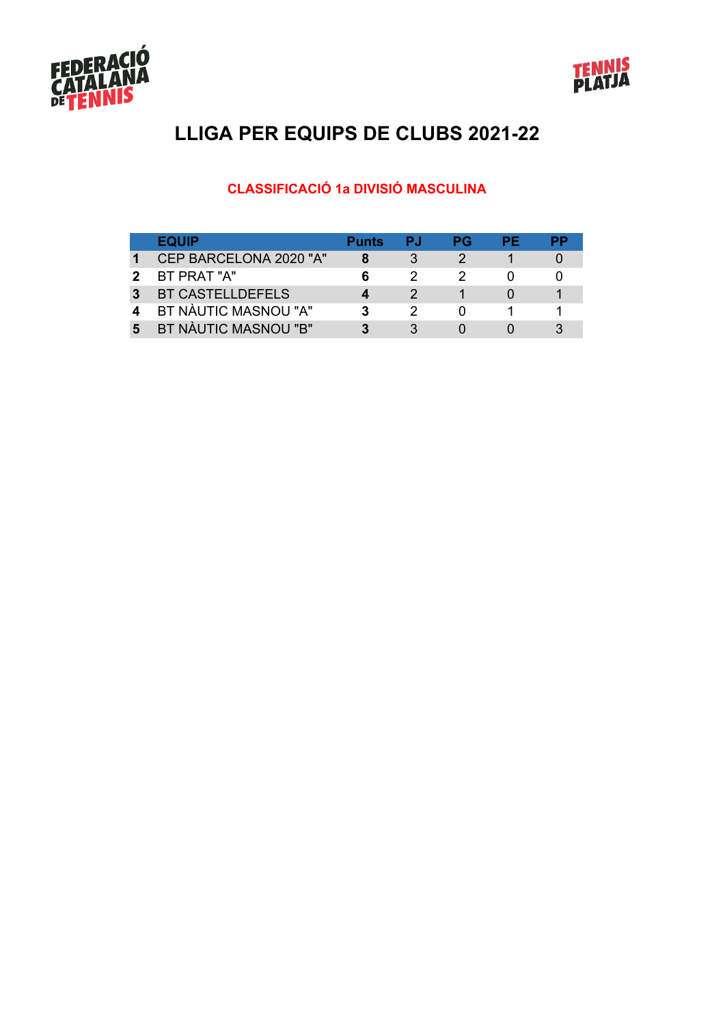



#### **CLASSIFICACIÓ 1a DIVISIÓ MASCULINA**

|   | <b>EQUIP</b>           | <b>Punts</b> | PJ. | РG | РF |  |
|---|------------------------|--------------|-----|----|----|--|
|   | CEP BARCELONA 2020 "A" |              |     |    |    |  |
|   | BT PRAT "A"            |              |     |    |    |  |
|   | BT CASTELLDEFELS       |              |     |    |    |  |
|   | BT NÀUTIC MASNOU "A"   |              |     |    |    |  |
| 5 | BT NÀUTIC MASNOU "B"   |              |     |    |    |  |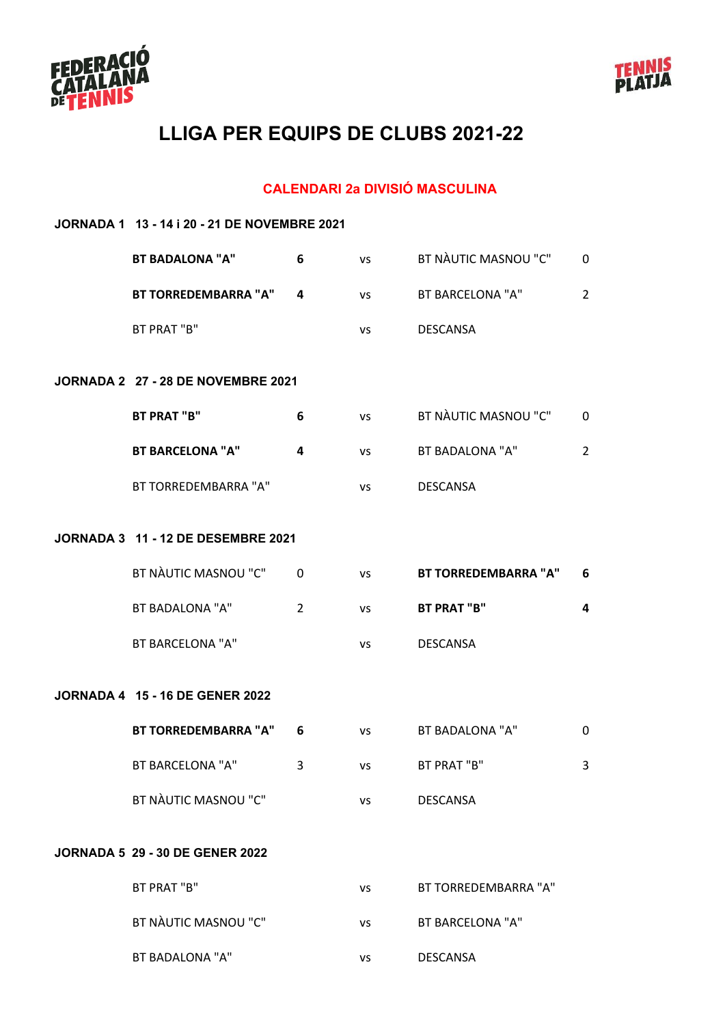



#### **CALENDARI 2a DIVISIÓ MASCULINA**

| JORNADA 1 13 - 14 i 20 - 21 DE NOVEMBRE 2021 |                |           |                             |                |  |  |  |
|----------------------------------------------|----------------|-----------|-----------------------------|----------------|--|--|--|
| <b>BT BADALONA "A"</b>                       | 6              | VS        | BT NAUTIC MASNOU "C"        | 0              |  |  |  |
| <b>BT TORREDEMBARRA "A"</b>                  | 4              | <b>VS</b> | <b>BT BARCELONA "A"</b>     | $\overline{2}$ |  |  |  |
| BT PRAT "B"                                  |                | vs        | <b>DESCANSA</b>             |                |  |  |  |
| JORNADA 2 27 - 28 DE NOVEMBRE 2021           |                |           |                             |                |  |  |  |
| <b>BT PRAT "B"</b>                           | 6              | <b>VS</b> | BT NAUTIC MASNOU "C"        | 0              |  |  |  |
| <b>BT BARCELONA "A"</b>                      | 4              | <b>VS</b> | BT BADALONA "A"             | $\overline{2}$ |  |  |  |
| BT TORREDEMBARRA "A"                         |                | VS        | <b>DESCANSA</b>             |                |  |  |  |
| JORNADA 3 11 - 12 DE DESEMBRE 2021           |                |           |                             |                |  |  |  |
| BT NÀUTIC MASNOU "C"                         | 0              | <b>VS</b> | <b>BT TORREDEMBARRA "A"</b> | 6              |  |  |  |
| BT BADALONA "A"                              | $\overline{2}$ | <b>VS</b> | <b>BT PRAT "B"</b>          | 4              |  |  |  |
| <b>BT BARCELONA "A"</b>                      |                | vs        | <b>DESCANSA</b>             |                |  |  |  |
| <b>JORNADA 4 15 - 16 DE GENER 2022</b>       |                |           |                             |                |  |  |  |
| <b>BT TORREDEMBARRA "A"</b>                  | 6              | <b>VS</b> | BT BADALONA "A"             | 0              |  |  |  |
| BT BARCELONA "A"                             | 3              | <b>VS</b> | BT PRAT "B"                 | 3              |  |  |  |
| BT NÀUTIC MASNOU "C"                         |                | <b>VS</b> | <b>DESCANSA</b>             |                |  |  |  |
| <b>JORNADA 5 29 - 30 DE GENER 2022</b>       |                |           |                             |                |  |  |  |
| BT PRAT "B"                                  |                | <b>VS</b> | BT TORREDEMBARRA "A"        |                |  |  |  |
| BT NÀUTIC MASNOU "C"                         |                | VS        | <b>BT BARCELONA "A"</b>     |                |  |  |  |
|                                              |                |           |                             |                |  |  |  |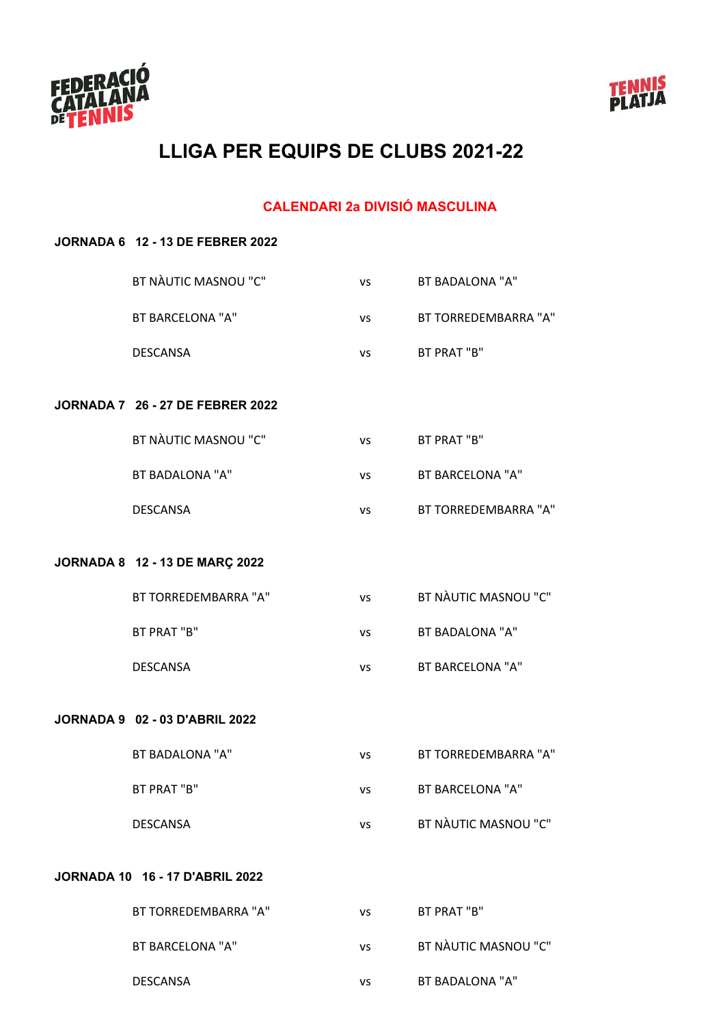



#### **CALENDARI 2a DIVISIÓ MASCULINA**

# **JORNADA 6 12 - 13 DE FEBRER 2022** BT NÀUTIC MASNOU "C" vs BT BADALONA "A" BT BARCELONA "A" vs BT TORREDEMBARRA "A" DESCANSA vs BT PRAT "B" **JORNADA 7 26 - 27 DE FEBRER 2022** BT NÀUTIC MASNOU "C" vs BT PRAT "B" BT BADALONA "A" vs BT BARCELONA "A" DESCANSA vs BT TORREDEMBARRA "A" **JORNADA 8 12 - 13 DE MARÇ 2022** BT TORREDEMBARRA "A" vs BT NÀUTIC MASNOU "C" BT PRAT "B" vs BT BADALONA "A" DESCANSA vs BT BARCELONA "A" **JORNADA 9 02 - 03 D'ABRIL 2022** BT BADALONA "A" vs BT TORREDEMBARRA "A" BT PRAT "B" vs BT BARCELONA "A" DESCANSA vs BT NÀUTIC MASNOU "C" **JORNADA 10 16 - 17 D'ABRIL 2022** BT TORREDEMBARRA "A" vs BT PRAT "B" BT BARCELONA "A" vs BT NÀUTIC MASNOU "C"

DESCANSA vs BT BADALONA "A"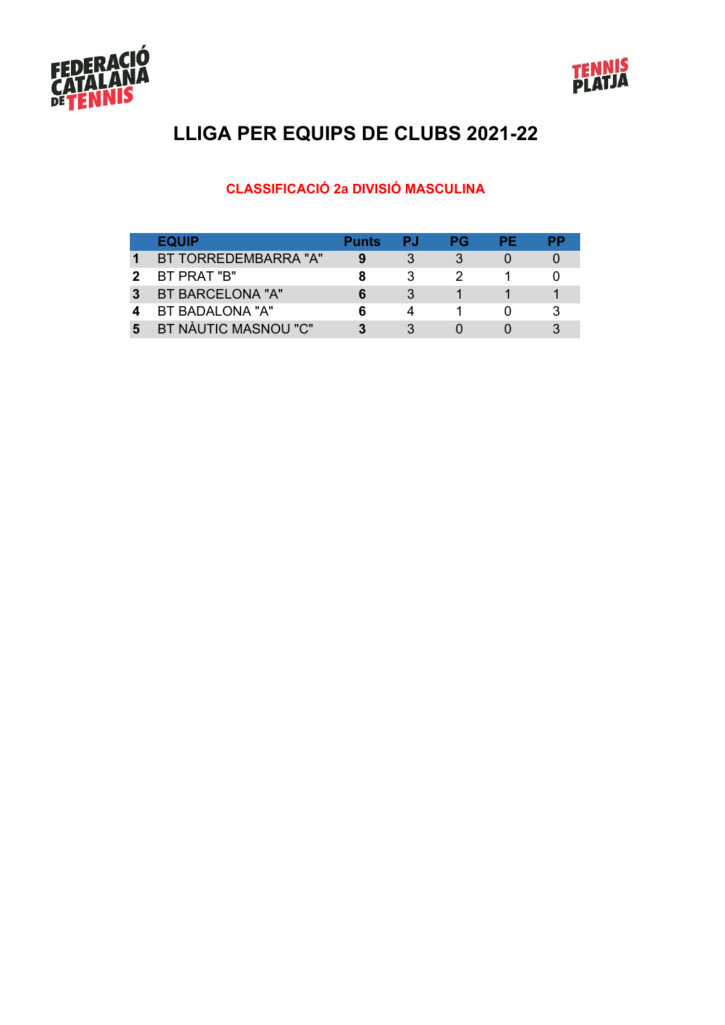



#### **CLASSIFICACIÓ 2a DIVISIÓ MASCULINA**

|   | <b>EQUIP</b>         | <b>Punts</b> | РJ | РG | PЕ |  |
|---|----------------------|--------------|----|----|----|--|
|   | BT TORREDEMBARRA "A" |              |    |    |    |  |
|   | BT PRAT "B"          |              |    |    |    |  |
| 3 | BT BARCELONA "A"     |              |    |    |    |  |
|   | BT BADALONA "A"      |              |    |    |    |  |
| 5 | BT NÀUTIC MASNOU "C" |              |    |    |    |  |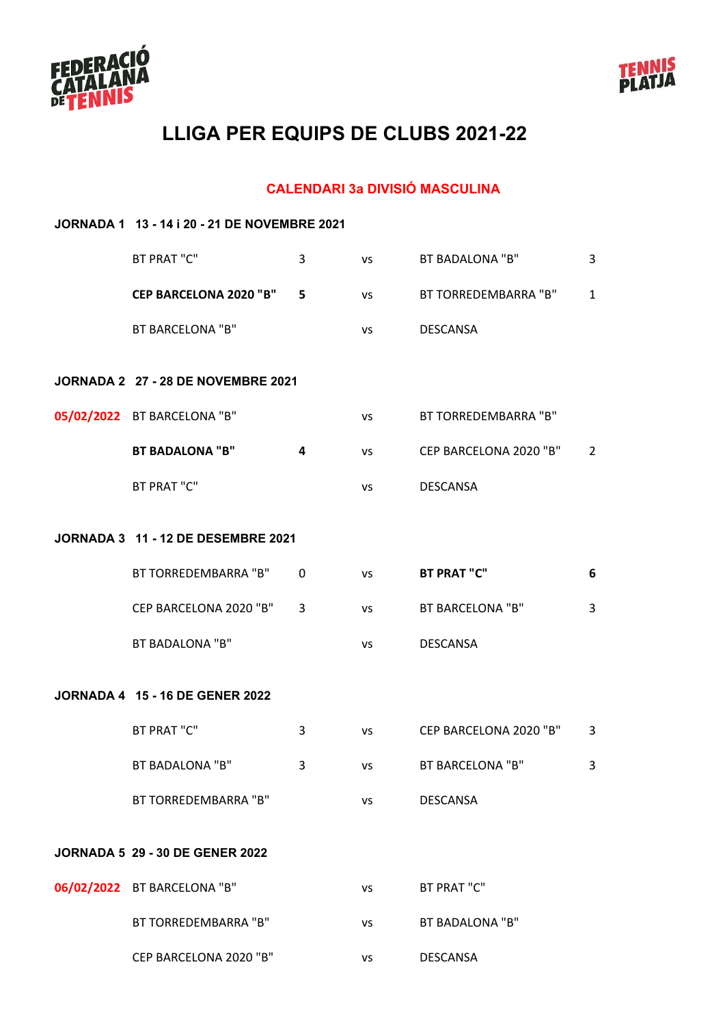



#### **CALENDARI 3a DIVISIÓ MASCULINA**

| JORNADA 1 13 - 14 i 20 - 21 DE NOVEMBRE 2021 |   |           |                        |                |  |  |  |
|----------------------------------------------|---|-----------|------------------------|----------------|--|--|--|
| BT PRAT "C"                                  | 3 | <b>VS</b> | BT BADALONA "B"        | 3              |  |  |  |
| <b>CEP BARCELONA 2020 "B"</b>                | 5 | VS        | BT TORREDEMBARRA "B"   | $\mathbf{1}$   |  |  |  |
| <b>BT BARCELONA "B"</b>                      |   | VS        | <b>DESCANSA</b>        |                |  |  |  |
| JORNADA 2 27 - 28 DE NOVEMBRE 2021           |   |           |                        |                |  |  |  |
| 05/02/2022 BT BARCELONA "B"                  |   | VS        | BT TORREDEMBARRA "B"   |                |  |  |  |
| <b>BT BADALONA "B"</b>                       | 4 | <b>VS</b> | CEP BARCELONA 2020 "B" | $\overline{2}$ |  |  |  |
| BT PRAT "C"                                  |   | VS        | <b>DESCANSA</b>        |                |  |  |  |
| <b>JORNADA 3 11 - 12 DE DESEMBRE 2021</b>    |   |           |                        |                |  |  |  |
| BT TORREDEMBARRA "B"                         | 0 | VS        | <b>BT PRAT "C"</b>     | 6              |  |  |  |
| CEP BARCELONA 2020 "B"                       | 3 | <b>VS</b> | BT BARCELONA "B"       | 3              |  |  |  |
| <b>BT BADALONA "B"</b>                       |   | <b>VS</b> | <b>DESCANSA</b>        |                |  |  |  |
| <b>JORNADA 4 15 - 16 DE GENER 2022</b>       |   |           |                        |                |  |  |  |
| BT PRAT "C"                                  | 3 | <b>VS</b> | CEP BARCELONA 2020 "B" | 3              |  |  |  |
| BT BADALONA "B"                              | 3 | VS        | BT BARCELONA "B"       | 3              |  |  |  |
| BT TORREDEMBARRA "B"                         |   | <b>VS</b> | <b>DESCANSA</b>        |                |  |  |  |
| <b>JORNADA 5 29 - 30 DE GENER 2022</b>       |   |           |                        |                |  |  |  |
| 06/02/2022 BT BARCELONA "B"                  |   | <b>VS</b> | BT PRAT "C"            |                |  |  |  |
| BT TORREDEMBARRA "B"                         |   | VS        | BT BADALONA "B"        |                |  |  |  |
| CEP BARCELONA 2020 "B"                       |   | VS        | <b>DESCANSA</b>        |                |  |  |  |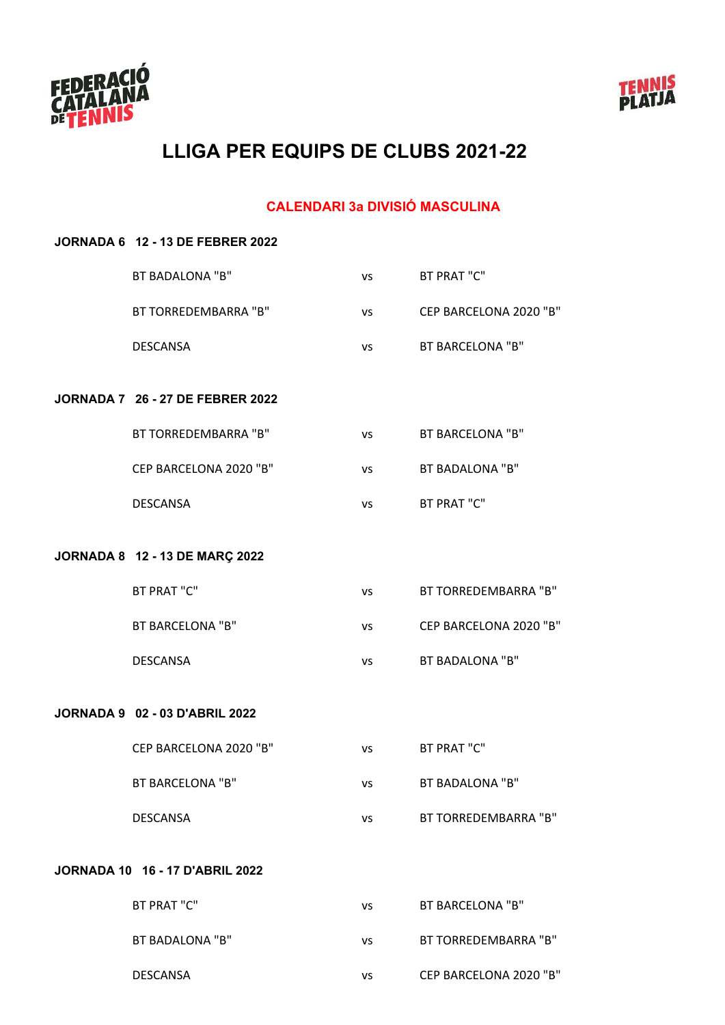



#### **CALENDARI 3a DIVISIÓ MASCULINA**

|                                        | <b>JORNADA 6 12 - 13 DE FEBRER 2022</b> |           |                         |  |  |  |
|----------------------------------------|-----------------------------------------|-----------|-------------------------|--|--|--|
|                                        | <b>BT BADALONA "B"</b>                  | vs        | BT PRAT "C"             |  |  |  |
|                                        | BT TORREDEMBARRA "B"                    | VS        | CEP BARCELONA 2020 "B"  |  |  |  |
|                                        | <b>DESCANSA</b>                         | VS        | BT BARCELONA "B"        |  |  |  |
|                                        | <b>JORNADA 7 26 - 27 DE FEBRER 2022</b> |           |                         |  |  |  |
|                                        | BT TORREDEMBARRA "B"                    | VS        | <b>BT BARCELONA "B"</b> |  |  |  |
|                                        | CEP BARCELONA 2020 "B"                  | VS        | <b>BT BADALONA "B"</b>  |  |  |  |
|                                        | <b>DESCANSA</b>                         | VS        | BT PRAT "C"             |  |  |  |
|                                        | JORNADA 8 12 - 13 DE MARÇ 2022          |           |                         |  |  |  |
|                                        | BT PRAT "C"                             | VS        | BT TORREDEMBARRA "B"    |  |  |  |
|                                        | <b>BT BARCELONA "B"</b>                 | VS        | CEP BARCELONA 2020 "B"  |  |  |  |
|                                        | <b>DESCANSA</b>                         | VS        | BT BADALONA "B"         |  |  |  |
|                                        | <b>JORNADA 9 02 - 03 D'ABRIL 2022</b>   |           |                         |  |  |  |
|                                        | CEP BARCELONA 2020 "B"                  | <b>VS</b> | BT PRAT "C"             |  |  |  |
|                                        | <b>BT BARCELONA "B"</b>                 | VS        | <b>BT BADALONA "B"</b>  |  |  |  |
|                                        | <b>DESCANSA</b>                         | VS        | BT TORREDEMBARRA "B"    |  |  |  |
| <b>JORNADA 10 16 - 17 D'ABRIL 2022</b> |                                         |           |                         |  |  |  |
|                                        | BT PRAT "C"                             | VS        | <b>BT BARCELONA "B"</b> |  |  |  |
|                                        | BT BADALONA "B"                         | vs        | BT TORREDEMBARRA "B"    |  |  |  |

DESCANSA vs CEP BARCELONA 2020 "B"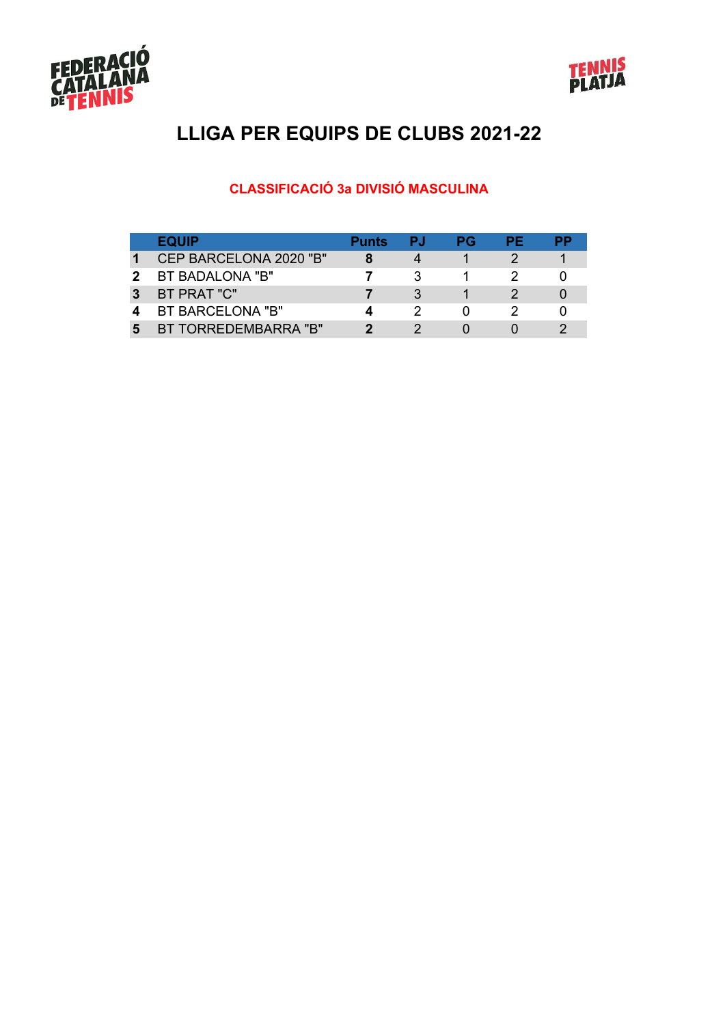



#### **CLASSIFICACIÓ 3a DIVISIÓ MASCULINA**

|   | <b>EQUIP</b>           | <b>Punts</b> | РJ | РG | РF |  |
|---|------------------------|--------------|----|----|----|--|
|   | CEP BARCELONA 2020 "B" |              |    |    |    |  |
|   | BT BADALONA "B"        |              |    |    |    |  |
| 3 | BT PRAT "C"            |              |    |    |    |  |
|   | BT BARCELONA "B"       |              |    |    |    |  |
| 5 | BT TORREDEMBARRA "B"   |              |    |    |    |  |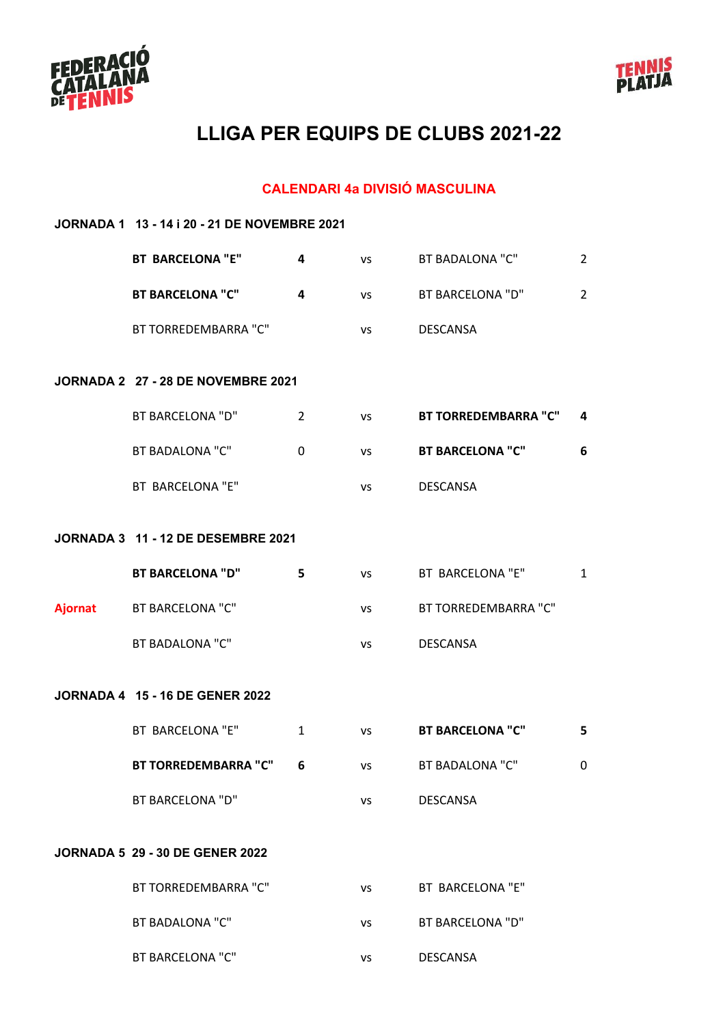



#### **CALENDARI 4a DIVISIÓ MASCULINA**

|                | JORNADA 1 13 - 14 i 20 - 21 DE NOVEMBRE 2021 |                |           |                             |                |  |  |  |
|----------------|----------------------------------------------|----------------|-----------|-----------------------------|----------------|--|--|--|
|                | <b>BT BARCELONA "E"</b>                      | 4              | VS        | BT BADALONA "C"             | $\overline{2}$ |  |  |  |
|                | <b>BT BARCELONA "C"</b>                      | 4              | VS        | BT BARCELONA "D"            | $\overline{2}$ |  |  |  |
|                | BT TORREDEMBARRA "C"                         |                | VS        | <b>DESCANSA</b>             |                |  |  |  |
|                | JORNADA 2 27 - 28 DE NOVEMBRE 2021           |                |           |                             |                |  |  |  |
|                | <b>BT BARCELONA "D"</b>                      | $\overline{2}$ | VS        | <b>BT TORREDEMBARRA "C"</b> | 4              |  |  |  |
|                | <b>BT BADALONA "C"</b>                       | 0              | <b>VS</b> | <b>BT BARCELONA "C"</b>     | 6              |  |  |  |
|                | BT BARCELONA "E"                             |                | VS        | <b>DESCANSA</b>             |                |  |  |  |
|                | <b>JORNADA 3 11 - 12 DE DESEMBRE 2021</b>    |                |           |                             |                |  |  |  |
|                | <b>BT BARCELONA "D"</b>                      | 5              | VS        | BT BARCELONA "E"            | $\mathbf{1}$   |  |  |  |
| <b>Ajornat</b> | <b>BT BARCELONA "C"</b>                      |                | VS        | BT TORREDEMBARRA "C"        |                |  |  |  |
|                | <b>BT BADALONA "C"</b>                       |                | VS        | <b>DESCANSA</b>             |                |  |  |  |
|                | <b>JORNADA 4 15 - 16 DE GENER 2022</b>       |                |           |                             |                |  |  |  |
|                | BT BARCELONA "E"                             | 1              | VS        | <b>BT BARCELONA "C"</b>     | 5              |  |  |  |
|                | <b>BT TORREDEMBARRA "C"</b>                  | 6              | VS        | BT BADALONA "C"             | 0              |  |  |  |
|                | <b>BT BARCELONA "D"</b>                      |                | VS        | DESCANSA                    |                |  |  |  |
|                | <b>JORNADA 5 29 - 30 DE GENER 2022</b>       |                |           |                             |                |  |  |  |
|                | BT TORREDEMBARRA "C"                         |                | VS        | BT BARCELONA "E"            |                |  |  |  |
|                | <b>BT BADALONA "C"</b>                       |                | VS        | BT BARCELONA "D"            |                |  |  |  |
|                | <b>BT BARCELONA "C"</b>                      |                | VS        | DESCANSA                    |                |  |  |  |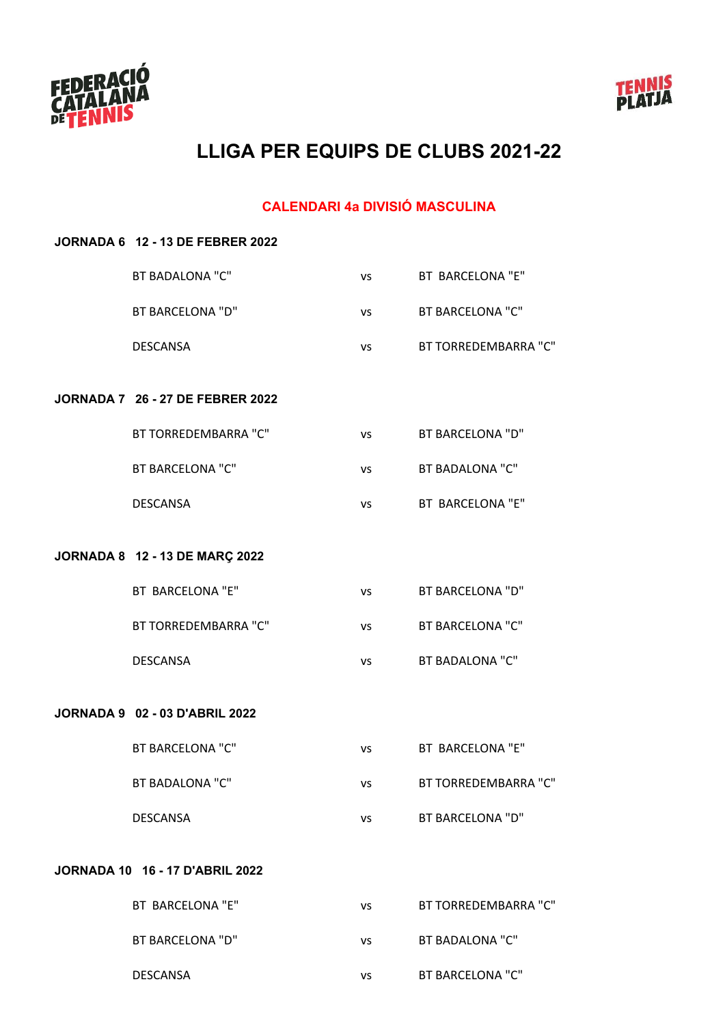



#### **CALENDARI 4a DIVISIÓ MASCULINA**

| <b>JORNADA 6 12 - 13 DE FEBRER 2022</b> |           |                         |
|-----------------------------------------|-----------|-------------------------|
| <b>BT BADALONA "C"</b>                  | <b>VS</b> | BT BARCELONA "E"        |
| <b>BT BARCELONA "D"</b>                 | VS        | <b>BT BARCELONA "C"</b> |
| <b>DESCANSA</b>                         | <b>VS</b> | BT TORREDEMBARRA "C"    |
| <b>JORNADA 7 26 - 27 DE FEBRER 2022</b> |           |                         |
| BT TORREDEMBARRA "C"                    | VS        | BT BARCELONA "D"        |
| <b>BT BARCELONA "C"</b>                 | VS        | <b>BT BADALONA "C"</b>  |
| <b>DESCANSA</b>                         | VS        | BT BARCELONA "E"        |
| JORNADA 8 12 - 13 DE MARÇ 2022          |           |                         |
| BT BARCELONA "E"                        | VS        | <b>BT BARCELONA "D"</b> |
| BT TORREDEMBARRA "C"                    | VS        | BT BARCELONA "C"        |
| <b>DESCANSA</b>                         | VS        | <b>BT BADALONA "C"</b>  |
| <b>JORNADA 9 02 - 03 D'ABRIL 2022</b>   |           |                         |
| <b>BT BARCELONA "C"</b>                 | VS        | BT BARCELONA "E"        |
| BT BADALONA "C"                         | vs        | BT TORREDEMBARRA "C"    |
| <b>DESCANSA</b>                         | <b>VS</b> | <b>BT BARCELONA "D"</b> |
| <b>JORNADA 10 16 - 17 D'ABRIL 2022</b>  |           |                         |
| BT BARCELONA "E"                        | VS        | BT TORREDEMBARRA "C"    |
| <b>BT BARCELONA "D"</b>                 | VS        | <b>BT BADALONA "C"</b>  |
| DESCANSA                                | VS        | <b>BT BARCELONA "C"</b> |